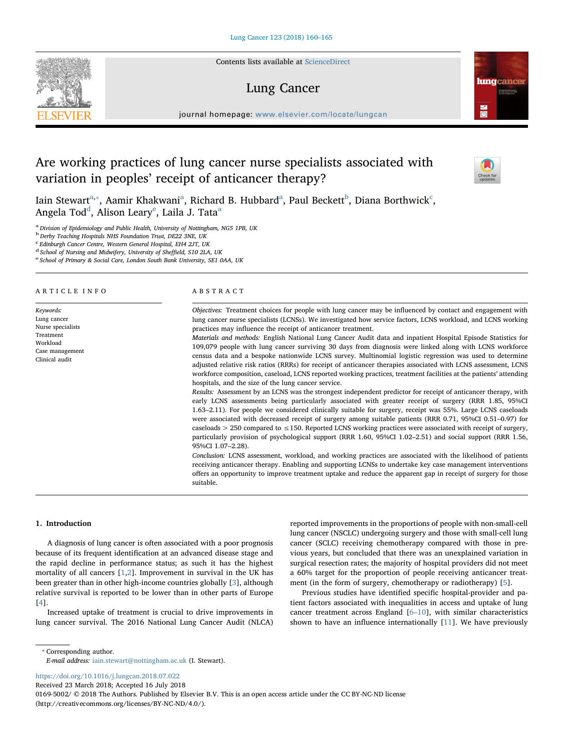Contents lists available at [ScienceDirect](http://www.sciencedirect.com/science/journal/01695002)

## Lung Cancer

journal homepage: [www.elsevier.com/locate/lungcan](https://www.elsevier.com/locate/lungcan)

# Are working practices of lung cancer nurse specialists associated with variation in peoples' receipt of anticancer therapy?

I[a](#page-0-0)in Stewart $^{\rm a, *},$  $^{\rm a, *},$  $^{\rm a, *},$  Aamir Khakwani $^{\rm a}$ , Richard B. Hu[b](#page-0-2)bard $^{\rm a}$ , Paul Be[c](#page-0-3)kett $^{\rm b}$ , D[ia](#page-0-0)na Borthwick $^{\rm c}$ , Angela To[d](#page-0-4)<sup>d</sup>, Alison L[e](#page-0-5)[a](#page-0-0)ry<sup>e</sup>, Laila J. Tata<sup>a</sup>

<span id="page-0-0"></span><sup>a</sup> Division of Epidemiology and Public Health, University of Nottingham, NG5 1PB, UK

<span id="page-0-2"></span><sup>b</sup> Derby Teaching Hospitals NHS Foundation Trust, DE22 3NE, UK

<span id="page-0-3"></span>c Edinburgh Cancer Centre, Western General Hospital, EH4 2JT, UK

<span id="page-0-5"></span><span id="page-0-4"></span><sup>d</sup> School of Nursing and Midwifery, University of Sheffield, S10 2LA, UK e School of Primary & Social Care, London South Bank University, SE1 0AA, UK

ARTICLE INFO

Keywords: Lung cancer Nurse specialists Treatment Workload Case management Clinical audit

## ABSTRACT

Objectives: Treatment choices for people with lung cancer may be influenced by contact and engagement with lung cancer nurse specialists (LCNSs). We investigated how service factors, LCNS workload, and LCNS working practices may influence the receipt of anticancer treatment.

Materials and methods: English National Lung Cancer Audit data and inpatient Hospital Episode Statistics for 109,079 people with lung cancer surviving 30 days from diagnosis were linked along with LCNS workforce census data and a bespoke nationwide LCNS survey. Multinomial logistic regression was used to determine adjusted relative risk ratios (RRRs) for receipt of anticancer therapies associated with LCNS assessment, LCNS workforce composition, caseload, LCNS reported working practices, treatment facilities at the patients' attending hospitals, and the size of the lung cancer service.

Results: Assessment by an LCNS was the strongest independent predictor for receipt of anticancer therapy, with early LCNS assessments being particularly associated with greater receipt of surgery (RRR 1.85, 95%CI 1.63–2.11). For people we considered clinically suitable for surgery, receipt was 55%. Large LCNS caseloads were associated with decreased receipt of surgery among suitable patients (RRR 0.71, 95%CI 0.51–0.97) for caseloads > 250 compared to ≤150. Reported LCNS working practices were associated with receipt of surgery, particularly provision of psychological support (RRR 1.60, 95%CI 1.02–2.51) and social support (RRR 1.56, 95%CI 1.07–2.28).

Conclusion: LCNS assessment, workload, and working practices are associated with the likelihood of patients receiving anticancer therapy. Enabling and supporting LCNSs to undertake key case management interventions offers an opportunity to improve treatment uptake and reduce the apparent gap in receipt of surgery for those suitable.

## 1. Introduction

A diagnosis of lung cancer is often associated with a poor prognosis because of its frequent identification at an advanced disease stage and the rapid decline in performance status; as such it has the highest mortality of all cancers [[1](#page-5-0)[,2\]](#page-5-1). Improvement in survival in the UK has been greater than in other high-income countries globally [\[3\]](#page-5-2), although relative survival is reported to be lower than in other parts of Europe [[4](#page-5-3)].

Increased uptake of treatment is crucial to drive improvements in lung cancer survival. The 2016 National Lung Cancer Audit (NLCA)

reported improvements in the proportions of people with non-small-cell lung cancer (NSCLC) undergoing surgery and those with small-cell lung cancer (SCLC) receiving chemotherapy compared with those in previous years, but concluded that there was an unexplained variation in surgical resection rates; the majority of hospital providers did not meet a 60% target for the proportion of people receiving anticancer treatment (in the form of surgery, chemotherapy or radiotherapy) [\[5\]](#page-5-4).

Previous studies have identified specific hospital-provider and patient factors associated with inequalities in access and uptake of lung cancer treatment across England [6–[10](#page-5-5)], with similar characteristics shown to have an influence internationally [[11\]](#page-5-6). We have previously

<span id="page-0-1"></span>⁎ Corresponding author.

E-mail address: [iain.stewart@nottingham.ac.uk](mailto:iain.stewart@nottingham.ac.uk) (I. Stewart).

<https://doi.org/10.1016/j.lungcan.2018.07.022>

Received 23 March 2018; Accepted 16 July 2018

0169-5002/ © 2018 The Authors. Published by Elsevier B.V. This is an open access article under the CC BY-NC-ND license (http://creativecommons.org/licenses/BY-NC-ND/4.0/).





 $\frac{1}{2}$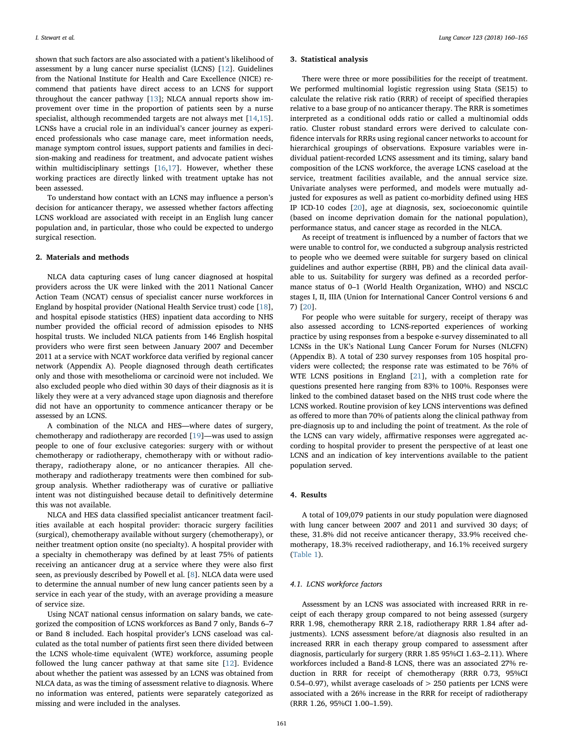shown that such factors are also associated with a patient's likelihood of assessment by a lung cancer nurse specialist (LCNS) [[12\]](#page-5-7). Guidelines from the National Institute for Health and Care Excellence (NICE) recommend that patients have direct access to an LCNS for support throughout the cancer pathway [\[13](#page-5-8)]; NLCA annual reports show improvement over time in the proportion of patients seen by a nurse specialist, although recommended targets are not always met [[14,](#page-5-9)[15](#page-5-10)]. LCNSs have a crucial role in an individual's cancer journey as experienced professionals who case manage care, meet information needs, manage symptom control issues, support patients and families in decision-making and readiness for treatment, and advocate patient wishes within multidisciplinary settings [\[16](#page-5-11)[,17](#page-5-12)]. However, whether these working practices are directly linked with treatment uptake has not been assessed.

To understand how contact with an LCNS may influence a person's decision for anticancer therapy, we assessed whether factors affecting LCNS workload are associated with receipt in an English lung cancer population and, in particular, those who could be expected to undergo surgical resection.

#### 2. Materials and methods

NLCA data capturing cases of lung cancer diagnosed at hospital providers across the UK were linked with the 2011 National Cancer Action Team (NCAT) census of specialist cancer nurse workforces in England by hospital provider (National Health Service trust) code [\[18](#page-5-13)], and hospital episode statistics (HES) inpatient data according to NHS number provided the official record of admission episodes to NHS hospital trusts. We included NLCA patients from 146 English hospital providers who were first seen between January 2007 and December 2011 at a service with NCAT workforce data verified by regional cancer network (Appendix A). People diagnosed through death certificates only and those with mesothelioma or carcinoid were not included. We also excluded people who died within 30 days of their diagnosis as it is likely they were at a very advanced stage upon diagnosis and therefore did not have an opportunity to commence anticancer therapy or be assessed by an LCNS.

A combination of the NLCA and HES—where dates of surgery, chemotherapy and radiotherapy are recorded [\[19](#page-5-14)]—was used to assign people to one of four exclusive categories: surgery with or without chemotherapy or radiotherapy, chemotherapy with or without radiotherapy, radiotherapy alone, or no anticancer therapies. All chemotherapy and radiotherapy treatments were then combined for subgroup analysis. Whether radiotherapy was of curative or palliative intent was not distinguished because detail to definitively determine this was not available.

NLCA and HES data classified specialist anticancer treatment facilities available at each hospital provider: thoracic surgery facilities (surgical), chemotherapy available without surgery (chemotherapy), or neither treatment option onsite (no specialty). A hospital provider with a specialty in chemotherapy was defined by at least 75% of patients receiving an anticancer drug at a service where they were also first seen, as previously described by Powell et al. [\[8\]](#page-5-15). NLCA data were used to determine the annual number of new lung cancer patients seen by a service in each year of the study, with an average providing a measure of service size.

Using NCAT national census information on salary bands, we categorized the composition of LCNS workforces as Band 7 only, Bands 6–7 or Band 8 included. Each hospital provider's LCNS caseload was calculated as the total number of patients first seen there divided between the LCNS whole-time equivalent (WTE) workforce, assuming people followed the lung cancer pathway at that same site [\[12](#page-5-7)]. Evidence about whether the patient was assessed by an LCNS was obtained from NLCA data, as was the timing of assessment relative to diagnosis. Where no information was entered, patients were separately categorized as missing and were included in the analyses.

#### 3. Statistical analysis

There were three or more possibilities for the receipt of treatment. We performed multinomial logistic regression using Stata (SE15) to calculate the relative risk ratio (RRR) of receipt of specified therapies relative to a base group of no anticancer therapy. The RRR is sometimes interpreted as a conditional odds ratio or called a multinomial odds ratio. Cluster robust standard errors were derived to calculate confidence intervals for RRRs using regional cancer networks to account for hierarchical groupings of observations. Exposure variables were individual patient-recorded LCNS assessment and its timing, salary band composition of the LCNS workforce, the average LCNS caseload at the service, treatment facilities available, and the annual service size. Univariate analyses were performed, and models were mutually adjusted for exposures as well as patient co-morbidity defined using HES IP ICD-10 codes [\[20](#page-5-16)], age at diagnosis, sex, socioeconomic quintile (based on income deprivation domain for the national population), performance status, and cancer stage as recorded in the NLCA.

As receipt of treatment is influenced by a number of factors that we were unable to control for, we conducted a subgroup analysis restricted to people who we deemed were suitable for surgery based on clinical guidelines and author expertise (RBH, PB) and the clinical data available to us. Suitability for surgery was defined as a recorded performance status of 0–1 (World Health Organization, WHO) and NSCLC stages I, II, IIIA (Union for International Cancer Control versions 6 and 7) [\[20](#page-5-16)].

For people who were suitable for surgery, receipt of therapy was also assessed according to LCNS-reported experiences of working practice by using responses from a bespoke e-survey disseminated to all LCNSs in the UK's National Lung Cancer Forum for Nurses (NLCFN) (Appendix B). A total of 230 survey responses from 105 hospital providers were collected; the response rate was estimated to be 76% of WTE LCNS positions in England [\[21](#page-5-17)], with a completion rate for questions presented here ranging from 83% to 100%. Responses were linked to the combined dataset based on the NHS trust code where the LCNS worked. Routine provision of key LCNS interventions was defined as offered to more than 70% of patients along the clinical pathway from pre-diagnosis up to and including the point of treatment. As the role of the LCNS can vary widely, affirmative responses were aggregated according to hospital provider to present the perspective of at least one LCNS and an indication of key interventions available to the patient population served.

## 4. Results

A total of 109,079 patients in our study population were diagnosed with lung cancer between 2007 and 2011 and survived 30 days; of these, 31.8% did not receive anticancer therapy, 33.9% received chemotherapy, 18.3% received radiotherapy, and 16.1% received surgery ([Table 1](#page-2-0)).

## 4.1. LCNS workforce factors

Assessment by an LCNS was associated with increased RRR in receipt of each therapy group compared to not being assessed (surgery RRR 1.98, chemotherapy RRR 2.18, radiotherapy RRR 1.84 after adjustments). LCNS assessment before/at diagnosis also resulted in an increased RRR in each therapy group compared to assessment after diagnosis, particularly for surgery (RRR 1.85 95%CI 1.63–2.11). Where workforces included a Band-8 LCNS, there was an associated 27% reduction in RRR for receipt of chemotherapy (RRR 0.73, 95%CI 0.54–0.97), whilst average caseloads of  $>$  250 patients per LCNS were associated with a 26% increase in the RRR for receipt of radiotherapy (RRR 1.26, 95%CI 1.00–1.59).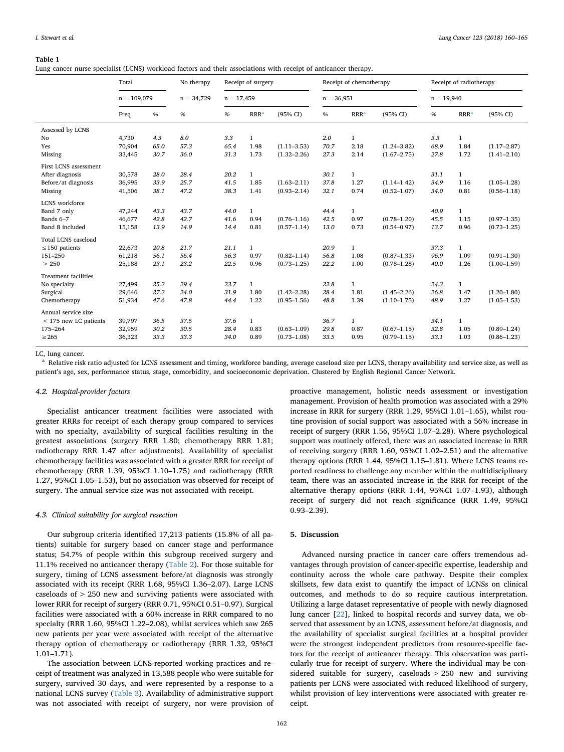#### <span id="page-2-0"></span>Table 1

Lung cancer nurse specialist (LCNS) workload factors and their associations with receipt of anticancer therapy.

|                             | Total         |      | No therapy   | Receipt of surgery |                  |                 | Receipt of chemotherapy |                         |                 | Receipt of radiotherapy |                  |                 |
|-----------------------------|---------------|------|--------------|--------------------|------------------|-----------------|-------------------------|-------------------------|-----------------|-------------------------|------------------|-----------------|
|                             | $n = 109,079$ |      | $n = 34,729$ | $n = 17,459$       |                  |                 | $n = 36,951$            |                         |                 | $n = 19,940$            |                  |                 |
|                             | Freq          | %    | %            | %                  | RRR <sup>a</sup> | (95% CI)        | $\%$                    | <b>RRR</b> <sup>a</sup> | (95% CI)        | %                       | RRR <sup>a</sup> | (95% CI)        |
| Assessed by LCNS            |               |      |              |                    |                  |                 |                         |                         |                 |                         |                  |                 |
| No                          | 4,730         | 4.3  | 8.0          | 3.3                | $\mathbf{1}$     |                 | 2.0                     | $\mathbf{1}$            |                 | 3.3                     | $\mathbf{1}$     |                 |
| Yes                         | 70,904        | 65.0 | 57.3         | 65.4               | 1.98             | $(1.11 - 3.53)$ | 70.7                    | 2.18                    | $(1.24 - 3.82)$ | 68.9                    | 1.84             | $(1.17 - 2.87)$ |
| Missing                     | 33,445        | 30.7 | 36.0         | 31.3               | 1.73             | $(1.32 - 2.26)$ | 27.3                    | 2.14                    | $(1.67 - 2.75)$ | 27.8                    | 1.72             | $(1.41 - 2.10)$ |
| First LCNS assessment       |               |      |              |                    |                  |                 |                         |                         |                 |                         |                  |                 |
| After diagnosis             | 30,578        | 28.0 | 28.4         | 20.2               | $\mathbf{1}$     |                 | 30.1                    | $\mathbf{1}$            |                 | 31.1                    | $\mathbf{1}$     |                 |
| Before/at diagnosis         | 36,995        | 33.9 | 25.7         | 41.5               | 1.85             | $(1.63 - 2.11)$ | 37.8                    | 1.27                    | $(1.14 - 1.42)$ | 34.9                    | 1.16             | $(1.05 - 1.28)$ |
| Missing                     | 41,506        | 38.1 | 47.2         | 38.3               | 1.41             | $(0.93 - 2.14)$ | 32.1                    | 0.74                    | $(0.52 - 1.07)$ | 34.0                    | 0.81             | $(0.56 - 1.18)$ |
| LCNS workforce              |               |      |              |                    |                  |                 |                         |                         |                 |                         |                  |                 |
| Band 7 only                 | 47,244        | 43.3 | 43.7         | 44.0               | $\mathbf{1}$     |                 | 44.4                    | $\mathbf{1}$            |                 | 40.9                    | $\mathbf{1}$     |                 |
| Bands 6-7                   | 46,677        | 42.8 | 42.7         | 41.6               | 0.94             | $(0.76 - 1.16)$ | 42.5                    | 0.97                    | $(0.78 - 1.20)$ | 45.5                    | 1.15             | $(0.97 - 1.35)$ |
| Band 8 included             | 15,158        | 13.9 | 14.9         | 14.4               | 0.81             | $(0.57 - 1.14)$ | 13.0                    | 0.73                    | $(0.54 - 0.97)$ | 13.7                    | 0.96             | $(0.73 - 1.25)$ |
| Total LCNS caseload         |               |      |              |                    |                  |                 |                         |                         |                 |                         |                  |                 |
| $\leq$ 150 patients         | 22,673        | 20.8 | 21.7         | 21.1               | $\mathbf{1}$     |                 | 20.9                    | $\mathbf{1}$            |                 | 37.3                    | $\mathbf{1}$     |                 |
| 151-250                     | 61,218        | 56.1 | 56.4         | 56.3               | 0.97             | $(0.82 - 1.14)$ | 56.8                    | 1.08                    | $(0.87 - 1.33)$ | 96.9                    | 1.09             | $(0.91 - 1.30)$ |
| > 250                       | 25,188        | 23.1 | 23.2         | 22.5               | 0.96             | $(0.73 - 1.25)$ | 22.2                    | 1.00                    | $(0.78 - 1.28)$ | 40.0                    | 1.26             | $(1.00 - 1.59)$ |
| <b>Treatment facilities</b> |               |      |              |                    |                  |                 |                         |                         |                 |                         |                  |                 |
| No specialty                | 27,499        | 25.2 | 29.4         | 23.7               | $\mathbf{1}$     |                 | 22.8                    | $\mathbf{1}$            |                 | 24.3                    | $\mathbf{1}$     |                 |
| Surgical                    | 29,646        | 27.2 | 24.0         | 31.9               | 1.80             | $(1.42 - 2.28)$ | 28.4                    | 1.81                    | $(1.45 - 2.26)$ | 26.8                    | 1.47             | $(1.20 - 1.80)$ |
| Chemotherapy                | 51,934        | 47.6 | 47.8         | 44.4               | 1.22             | $(0.95 - 1.56)$ | 48.8                    | 1.39                    | $(1.10 - 1.75)$ | 48.9                    | 1.27             | $(1.05 - 1.53)$ |
| Annual service size         |               |      |              |                    |                  |                 |                         |                         |                 |                         |                  |                 |
| $<$ 175 new LC patients     | 39,797        | 36.5 | 37.5         | 37.6               | $\mathbf{1}$     |                 | 36.7                    | $\mathbf{1}$            |                 | 34.1                    | $\mathbf{1}$     |                 |
| 175-264                     | 32,959        | 30.2 | 30.5         | 28.4               | 0.83             | $(0.63 - 1.09)$ | 29.8                    | 0.87                    | $(0.67 - 1.15)$ | 32.8                    | 1.05             | $(0.89 - 1.24)$ |
| $\geq$ 265                  | 36,323        | 33.3 | 33.3         | 34.0               | 0.89             | $(0.73 - 1.08)$ | 33.5                    | 0.95                    | $(0.79 - 1.15)$ | 33.1                    | 1.03             | $(0.86 - 1.23)$ |

LC, lung cancer.

<span id="page-2-1"></span><sup>a</sup> Relative risk ratio adjusted for LCNS assessment and timing, workforce banding, average caseload size per LCNS, therapy availability and service size, as well as patient's age, sex, performance status, stage, comorbidity, and socioeconomic deprivation. Clustered by English Regional Cancer Network.

#### 4.2. Hospital-provider factors

Specialist anticancer treatment facilities were associated with greater RRRs for receipt of each therapy group compared to services with no specialty, availability of surgical facilities resulting in the greatest associations (surgery RRR 1.80; chemotherapy RRR 1.81; radiotherapy RRR 1.47 after adjustments). Availability of specialist chemotherapy facilities was associated with a greater RRR for receipt of chemotherapy (RRR 1.39, 95%CI 1.10–1.75) and radiotherapy (RRR 1.27, 95%CI 1.05–1.53), but no association was observed for receipt of surgery. The annual service size was not associated with receipt.

#### 4.3. Clinical suitability for surgical resection

Our subgroup criteria identified 17,213 patients (15.8% of all patients) suitable for surgery based on cancer stage and performance status; 54.7% of people within this subgroup received surgery and 11.1% received no anticancer therapy [\(Table 2](#page-3-0)). For those suitable for surgery, timing of LCNS assessment before/at diagnosis was strongly associated with its receipt (RRR 1.68, 95%CI 1.36–2.07). Large LCNS caseloads of > 250 new and surviving patients were associated with lower RRR for receipt of surgery (RRR 0.71, 95%CI 0.51–0.97). Surgical facilities were associated with a 60% increase in RRR compared to no specialty (RRR 1.60, 95%CI 1.22–2.08), whilst services which saw 265 new patients per year were associated with receipt of the alternative therapy option of chemotherapy or radiotherapy (RRR 1.32, 95%CI 1.01–1.71).

The association between LCNS-reported working practices and receipt of treatment was analyzed in 13,588 people who were suitable for surgery, survived 30 days, and were represented by a response to a national LCNS survey [\(Table 3\)](#page-3-1). Availability of administrative support was not associated with receipt of surgery, nor were provision of proactive management, holistic needs assessment or investigation management. Provision of health promotion was associated with a 29% increase in RRR for surgery (RRR 1.29, 95%CI 1.01–1.65), whilst routine provision of social support was associated with a 56% increase in receipt of surgery (RRR 1.56, 95%CI 1.07–2.28). Where psychological support was routinely offered, there was an associated increase in RRR of receiving surgery (RRR 1.60, 95%CI 1.02–2.51) and the alternative therapy options (RRR 1.44, 95%CI 1.15–1.81). Where LCNS teams reported readiness to challenge any member within the multidisciplinary team, there was an associated increase in the RRR for receipt of the alternative therapy options (RRR 1.44, 95%CI 1.07–1.93), although receipt of surgery did not reach significance (RRR 1.49, 95%CI 0.93–2.39).

## 5. Discussion

Advanced nursing practice in cancer care offers tremendous advantages through provision of cancer-specific expertise, leadership and continuity across the whole care pathway. Despite their complex skillsets, few data exist to quantify the impact of LCNSs on clinical outcomes, and methods to do so require cautious interpretation. Utilizing a large dataset representative of people with newly diagnosed lung cancer [\[22](#page-5-18)], linked to hospital records and survey data, we observed that assessment by an LCNS, assessment before/at diagnosis, and the availability of specialist surgical facilities at a hospital provider were the strongest independent predictors from resource-specific factors for the receipt of anticancer therapy. This observation was particularly true for receipt of surgery. Where the individual may be considered suitable for surgery, caseloads > 250 new and surviving patients per LCNS were associated with reduced likelihood of surgery, whilst provision of key interventions were associated with greater receipt.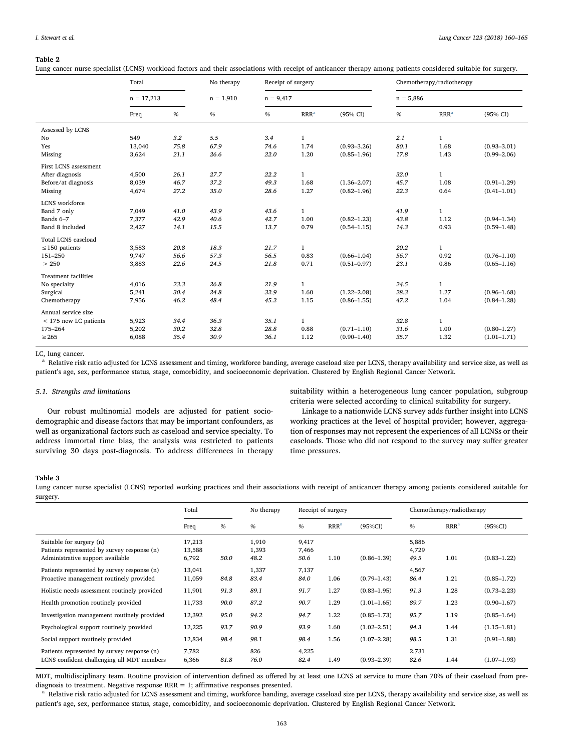#### <span id="page-3-0"></span>Table 2

Lung cancer nurse specialist (LCNS) workload factors and their associations with receipt of anticancer therapy among patients considered suitable for surgery.

|                             | Total<br>$n = 17,213$ |      | No therapy  |               | Receipt of surgery |                 | Chemotherapy/radiotherapy<br>$n = 5,886$ |                  |                 |  |
|-----------------------------|-----------------------|------|-------------|---------------|--------------------|-----------------|------------------------------------------|------------------|-----------------|--|
|                             |                       |      | $n = 1,910$ | $n = 9,417$   |                    |                 |                                          |                  |                 |  |
|                             | Freq                  | %    | $\%$        | $\frac{0}{6}$ | RRR <sup>a</sup>   | (95% CI)        | $\%$                                     | RRR <sup>a</sup> | (95% CI)        |  |
| Assessed by LCNS            |                       |      |             |               |                    |                 |                                          |                  |                 |  |
| No                          | 549                   | 3.2  | 5.5         | 3.4           | $\mathbf{1}$       |                 | 2.1                                      | $\mathbf{1}$     |                 |  |
| Yes                         | 13,040                | 75.8 | 67.9        | 74.6          | 1.74               | $(0.93 - 3.26)$ | 80.1                                     | 1.68             | $(0.93 - 3.01)$ |  |
| Missing                     | 3,624                 | 21.1 | 26.6        | 22.0          | 1.20               | $(0.85 - 1.96)$ | 17.8                                     | 1.43             | $(0.99 - 2.06)$ |  |
| First LCNS assessment       |                       |      |             |               |                    |                 |                                          |                  |                 |  |
| After diagnosis             | 4,500                 | 26.1 | 27.7        | 22.2          | $\mathbf{1}$       |                 | 32.0                                     | $\mathbf{1}$     |                 |  |
| Before/at diagnosis         | 8,039                 | 46.7 | 37.2        | 49.3          | 1.68               | $(1.36 - 2.07)$ | 45.7                                     | 1.08             | $(0.91 - 1.29)$ |  |
| Missing                     | 4,674                 | 27.2 | 35.0        | 28.6          | 1.27               | $(0.82 - 1.96)$ | 22.3                                     | 0.64             | $(0.41 - 1.01)$ |  |
| LCNS workforce              |                       |      |             |               |                    |                 |                                          |                  |                 |  |
| Band 7 only                 | 7,049                 | 41.0 | 43.9        | 43.6          | $\mathbf{1}$       |                 | 41.9                                     | $\mathbf{1}$     |                 |  |
| Bands 6-7                   | 7,377                 | 42.9 | 40.6        | 42.7          | 1.00               | $(0.82 - 1.23)$ | 43.8                                     | 1.12             | $(0.94 - 1.34)$ |  |
| Band 8 included             | 2,427                 | 14.1 | 15.5        | 13.7          | 0.79               | $(0.54 - 1.15)$ | 14.3                                     | 0.93             | $(0.59 - 1.48)$ |  |
| Total LCNS caseload         |                       |      |             |               |                    |                 |                                          |                  |                 |  |
| $\leq$ 150 patients         | 3,583                 | 20.8 | 18.3        | 21.7          | $\mathbf{1}$       |                 | 20.2                                     | $\mathbf{1}$     |                 |  |
| 151-250                     | 9,747                 | 56.6 | 57.3        | 56.5          | 0.83               | $(0.66 - 1.04)$ | 56.7                                     | 0.92             | $(0.76 - 1.10)$ |  |
| > 250                       | 3,883                 | 22.6 | 24.5        | 21.8          | 0.71               | $(0.51 - 0.97)$ | 23.1                                     | 0.86             | $(0.65 - 1.16)$ |  |
| <b>Treatment facilities</b> |                       |      |             |               |                    |                 |                                          |                  |                 |  |
| No specialty                | 4,016                 | 23.3 | 26.8        | 21.9          | $\mathbf{1}$       |                 | 24.5                                     | 1                |                 |  |
| Surgical                    | 5,241                 | 30.4 | 24.8        | 32.9          | 1.60               | $(1.22 - 2.08)$ | 28.3                                     | 1.27             | $(0.96 - 1.68)$ |  |
| Chemotherapy                | 7,956                 | 46.2 | 48.4        | 45.2          | 1.15               | $(0.86 - 1.55)$ | 47.2                                     | 1.04             | $(0.84 - 1.28)$ |  |
| Annual service size         |                       |      |             |               |                    |                 |                                          |                  |                 |  |
| $<$ 175 new LC patients     | 5,923                 | 34.4 | 36.3        | 35.1          | $\mathbf{1}$       |                 | 32.8                                     | $\mathbf{1}$     |                 |  |
| 175-264                     | 5,202                 | 30.2 | 32.8        | 28.8          | 0.88               | $(0.71 - 1.10)$ | 31.6                                     | 1.00             | $(0.80 - 1.27)$ |  |
| $\geq$ 265                  | 6,088                 | 35.4 | 30.9        | 36.1          | 1.12               | $(0.90 - 1.40)$ | 35.7                                     | 1.32             | $(1.01 - 1.71)$ |  |

LC, lung cancer.

<span id="page-3-2"></span><sup>a</sup> Relative risk ratio adjusted for LCNS assessment and timing, workforce banding, average caseload size per LCNS, therapy availability and service size, as well as patient's age, sex, performance status, stage, comorbidity, and socioeconomic deprivation. Clustered by English Regional Cancer Network.

#### 5.1. Strengths and limitations

Our robust multinomial models are adjusted for patient sociodemographic and disease factors that may be important confounders, as well as organizational factors such as caseload and service specialty. To address immortal time bias, the analysis was restricted to patients surviving 30 days post-diagnosis. To address differences in therapy

suitability within a heterogeneous lung cancer population, subgroup criteria were selected according to clinical suitability for surgery.

Linkage to a nationwide LCNS survey adds further insight into LCNS working practices at the level of hospital provider; however, aggregation of responses may not represent the experiences of all LCNSs or their caseloads. Those who did not respond to the survey may suffer greater time pressures.

## <span id="page-3-1"></span>Table 3

Lung cancer nurse specialist (LCNS) reported working practices and their associations with receipt of anticancer therapy among patients considered suitable for surgery.

|                                                                                                             | Total                     |      | No therapy             | Receipt of surgery     |                  |                 | Chemotherapy/radiotherapy |                  |                 |
|-------------------------------------------------------------------------------------------------------------|---------------------------|------|------------------------|------------------------|------------------|-----------------|---------------------------|------------------|-----------------|
|                                                                                                             | Freq                      | %    | %                      | $\%$                   | RRR <sup>a</sup> | $(95\%CI)$      | $\%$                      | RRR <sup>a</sup> | (95%CI)         |
| Suitable for surgery (n)<br>Patients represented by survey response (n)<br>Administrative support available | 17,213<br>13,588<br>6,792 | 50.0 | 1,910<br>1,393<br>48.2 | 9,417<br>7,466<br>50.6 | 1.10             | $(0.86 - 1.39)$ | 5,886<br>4,729<br>49.5    | 1.01             | $(0.83 - 1.22)$ |
| Patients represented by survey response (n)<br>Proactive management routinely provided                      | 13,041<br>11,059          | 84.8 | 1,337<br>83.4          | 7,137<br>84.0          | 1.06             | $(0.79 - 1.43)$ | 4,567<br>86.4             | 1.21             | $(0.85 - 1.72)$ |
| Holistic needs assessment routinely provided                                                                | 11,901                    | 91.3 | 89.1                   | 91.7                   | 1.27             | $(0.83 - 1.95)$ | 91.3                      | 1.28             | $(0.73 - 2.23)$ |
| Health promotion routinely provided                                                                         | 11,733                    | 90.0 | 87.2                   | 90.7                   | 1.29             | $(1.01-1.65)$   | 89.7                      | 1.23             | $(0.90 - 1.67)$ |
| Investigation management routinely provided                                                                 | 12,392                    | 95.0 | 94.2                   | 94.7                   | 1.22             | $(0.85 - 1.73)$ | 95.7                      | 1.19             | $(0.85 - 1.64)$ |
| Psychological support routinely provided                                                                    | 12,225                    | 93.7 | 90.9                   | 93.9                   | 1.60             | $(1.02 - 2.51)$ | 94.3                      | 1.44             | $(1.15 - 1.81)$ |
| Social support routinely provided                                                                           | 12,834                    | 98.4 | 98.1                   | 98.4                   | 1.56             | $(1.07 - 2.28)$ | 98.5                      | 1.31             | $(0.91 - 1.88)$ |
| Patients represented by survey response (n)<br>LCNS confident challenging all MDT members                   | 7,782<br>6,366            | 81.8 | 826<br>76.0            | 4,225<br>82.4          | 1.49             | $(0.93 - 2.39)$ | 2,731<br>82.6             | 1.44             | $(1.07-1.93)$   |

MDT, multidisciplinary team. Routine provision of intervention defined as offered by at least one LCNS at service to more than 70% of their caseload from prediagnosis to treatment. Negative response RRR = 1; affirmative responses presented.

<span id="page-3-3"></span><sup>a</sup> Relative risk ratio adjusted for LCNS assessment and timing, workforce banding, average caseload size per LCNS, therapy availability and service size, as well as patient's age, sex, performance status, stage, comorbidity, and socioeconomic deprivation. Clustered by English Regional Cancer Network.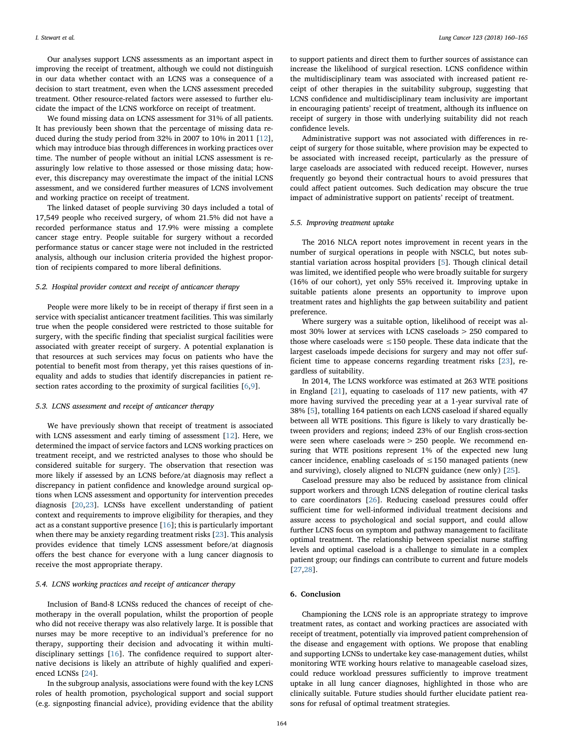Our analyses support LCNS assessments as an important aspect in improving the receipt of treatment, although we could not distinguish in our data whether contact with an LCNS was a consequence of a decision to start treatment, even when the LCNS assessment preceded treatment. Other resource-related factors were assessed to further elucidate the impact of the LCNS workforce on receipt of treatment.

We found missing data on LCNS assessment for 31% of all patients. It has previously been shown that the percentage of missing data reduced during the study period from 32% in 2007 to 10% in 2011 [\[12](#page-5-7)], which may introduce bias through differences in working practices over time. The number of people without an initial LCNS assessment is reassuringly low relative to those assessed or those missing data; however, this discrepancy may overestimate the impact of the initial LCNS assessment, and we considered further measures of LCNS involvement and working practice on receipt of treatment.

The linked dataset of people surviving 30 days included a total of 17,549 people who received surgery, of whom 21.5% did not have a recorded performance status and 17.9% were missing a complete cancer stage entry. People suitable for surgery without a recorded performance status or cancer stage were not included in the restricted analysis, although our inclusion criteria provided the highest proportion of recipients compared to more liberal definitions.

## 5.2. Hospital provider context and receipt of anticancer therapy

People were more likely to be in receipt of therapy if first seen in a service with specialist anticancer treatment facilities. This was similarly true when the people considered were restricted to those suitable for surgery, with the specific finding that specialist surgical facilities were associated with greater receipt of surgery. A potential explanation is that resources at such services may focus on patients who have the potential to benefit most from therapy, yet this raises questions of inequality and adds to studies that identify discrepancies in patient re-section rates according to the proximity of surgical facilities [\[6,](#page-5-5)[9](#page-5-19)].

## 5.3. LCNS assessment and receipt of anticancer therapy

We have previously shown that receipt of treatment is associated with LCNS assessment and early timing of assessment [[12\]](#page-5-7). Here, we determined the impact of service factors and LCNS working practices on treatment receipt, and we restricted analyses to those who should be considered suitable for surgery. The observation that resection was more likely if assessed by an LCNS before/at diagnosis may reflect a discrepancy in patient confidence and knowledge around surgical options when LCNS assessment and opportunity for intervention precedes diagnosis [[20,](#page-5-16)[23](#page-5-20)]. LCNSs have excellent understanding of patient context and requirements to improve eligibility for therapies, and they act as a constant supportive presence [[16\]](#page-5-11); this is particularly important when there may be anxiety regarding treatment risks [\[23](#page-5-20)]. This analysis provides evidence that timely LCNS assessment before/at diagnosis offers the best chance for everyone with a lung cancer diagnosis to receive the most appropriate therapy.

## 5.4. LCNS working practices and receipt of anticancer therapy

Inclusion of Band-8 LCNSs reduced the chances of receipt of chemotherapy in the overall population, whilst the proportion of people who did not receive therapy was also relatively large. It is possible that nurses may be more receptive to an individual's preference for no therapy, supporting their decision and advocating it within multidisciplinary settings [[16\]](#page-5-11). The confidence required to support alternative decisions is likely an attribute of highly qualified and experienced LCNSs [\[24](#page-5-21)].

In the subgroup analysis, associations were found with the key LCNS roles of health promotion, psychological support and social support (e.g. signposting financial advice), providing evidence that the ability

to support patients and direct them to further sources of assistance can increase the likelihood of surgical resection. LCNS confidence within the multidisciplinary team was associated with increased patient receipt of other therapies in the suitability subgroup, suggesting that LCNS confidence and multidisciplinary team inclusivity are important in encouraging patients' receipt of treatment, although its influence on receipt of surgery in those with underlying suitability did not reach confidence levels.

Administrative support was not associated with differences in receipt of surgery for those suitable, where provision may be expected to be associated with increased receipt, particularly as the pressure of large caseloads are associated with reduced receipt. However, nurses frequently go beyond their contractual hours to avoid pressures that could affect patient outcomes. Such dedication may obscure the true impact of administrative support on patients' receipt of treatment.

## 5.5. Improving treatment uptake

The 2016 NLCA report notes improvement in recent years in the number of surgical operations in people with NSCLC, but notes substantial variation across hospital providers [[5](#page-5-4)]. Though clinical detail was limited, we identified people who were broadly suitable for surgery (16% of our cohort), yet only 55% received it. Improving uptake in suitable patients alone presents an opportunity to improve upon treatment rates and highlights the gap between suitability and patient preference.

Where surgery was a suitable option, likelihood of receipt was almost 30% lower at services with LCNS caseloads > 250 compared to those where caseloads were  $\leq$  150 people. These data indicate that the largest caseloads impede decisions for surgery and may not offer sufficient time to appease concerns regarding treatment risks [[23\]](#page-5-20), regardless of suitability.

In 2014, The LCNS workforce was estimated at 263 WTE positions in England [\[21](#page-5-17)], equating to caseloads of 117 new patients, with 47 more having survived the preceding year at a 1-year survival rate of 38% [[5](#page-5-4)], totalling 164 patients on each LCNS caseload if shared equally between all WTE positions. This figure is likely to vary drastically between providers and regions; indeed 23% of our English cross-section were seen where caseloads were > 250 people. We recommend ensuring that WTE positions represent 1% of the expected new lung cancer incidence, enabling caseloads of ≤150 managed patients (new and surviving), closely aligned to NLCFN guidance (new only) [[25\]](#page-5-22).

Caseload pressure may also be reduced by assistance from clinical support workers and through LCNS delegation of routine clerical tasks to care coordinators [\[26](#page-5-23)]. Reducing caseload pressures could offer sufficient time for well-informed individual treatment decisions and assure access to psychological and social support, and could allow further LCNS focus on symptom and pathway management to facilitate optimal treatment. The relationship between specialist nurse staffing levels and optimal caseload is a challenge to simulate in a complex patient group; our findings can contribute to current and future models [[27](#page-5-24)[,28](#page-5-25)].

### 6. Conclusion

Championing the LCNS role is an appropriate strategy to improve treatment rates, as contact and working practices are associated with receipt of treatment, potentially via improved patient comprehension of the disease and engagement with options. We propose that enabling and supporting LCNSs to undertake key case-management duties, whilst monitoring WTE working hours relative to manageable caseload sizes, could reduce workload pressures sufficiently to improve treatment uptake in all lung cancer diagnoses, highlighted in those who are clinically suitable. Future studies should further elucidate patient reasons for refusal of optimal treatment strategies.